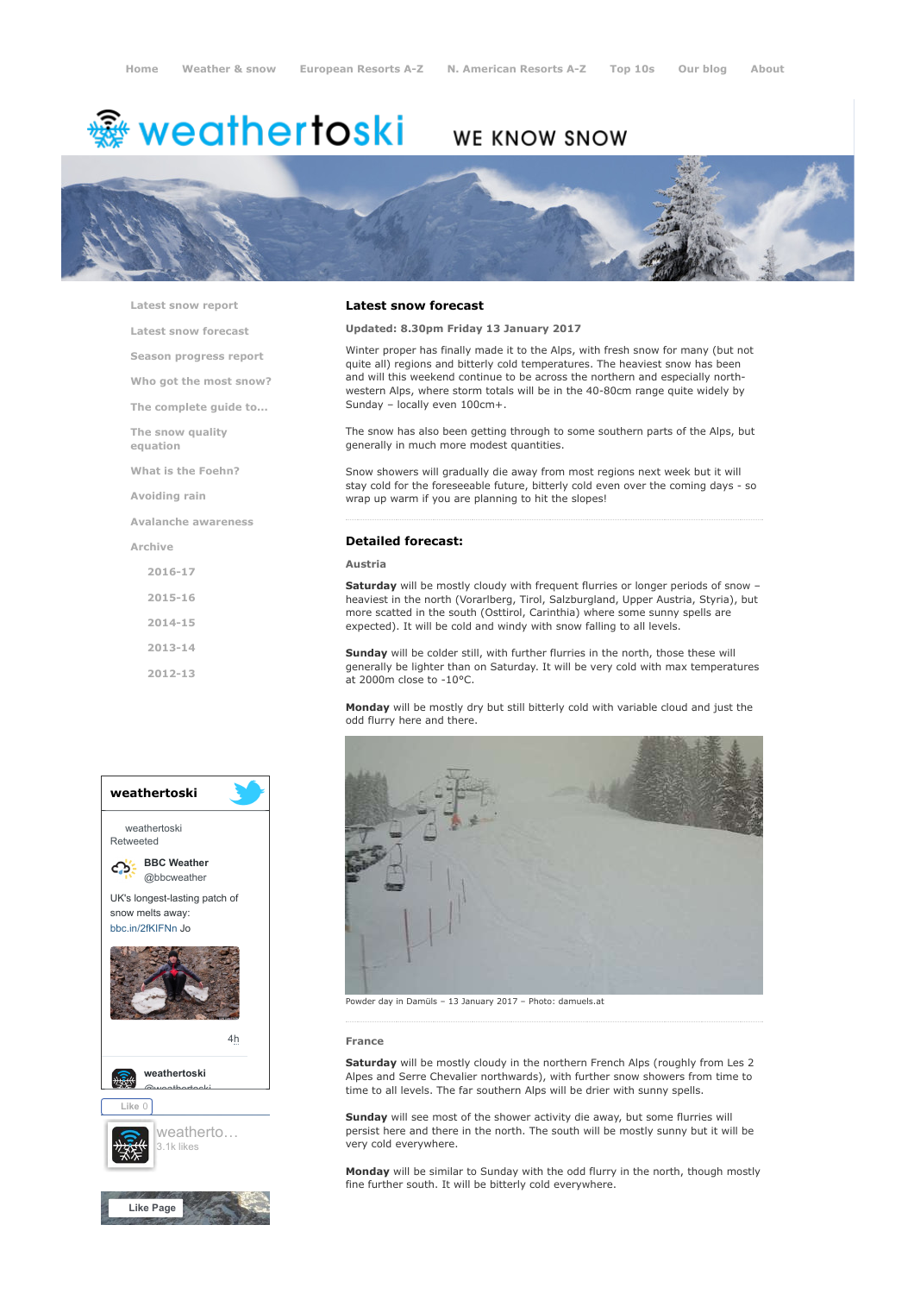# <del>鑾</del> weathertoski

# WE KNOW SNOW



[Latest snow report](https://www.weathertoski.co.uk/weather-snow/latest-snow-report/)

[Latest snow forecast](https://www.weathertoski.co.uk/weather-snow/latest-snow-forecast/)

[Season progress report](https://www.weathertoski.co.uk/weather-snow/season-progress-report/)

[Who got the most snow?](https://www.weathertoski.co.uk/weather-snow/who-got-the-most-snow/)

[The complete guide to...](https://www.weathertoski.co.uk/weather-snow/the-complete-guide-to/)

[The snow quality](https://www.weathertoski.co.uk/weather-snow/the-snow-quality-equation/)

[What is the Foehn?](https://www.weathertoski.co.uk/weather-snow/what-is-the-foehn/)

[Avoiding rain](https://www.weathertoski.co.uk/weather-snow/avoiding-rain/)

[Avalanche awareness](https://www.weathertoski.co.uk/weather-snow/avalanche-awareness/)

[Archive](https://www.weathertoski.co.uk/weather-snow/archive/)

equation

[2016-17](https://www.weathertoski.co.uk/weather-snow/archive/2016-17/) [2015-16](https://www.weathertoski.co.uk/weather-snow/archive/2015-16/) [2014-15](https://www.weathertoski.co.uk/weather-snow/archive/2014-15/)

[2013-14](https://www.weathertoski.co.uk/weather-snow/archive/2013-14/)

[2012-13](https://www.weathertoski.co.uk/weather-snow/archive/2012-13/)



# Latest snow forecast

Updated: 8.30pm Friday 13 January 2017

Winter proper has finally made it to the Alps, with fresh snow for many (but not quite all) regions and bitterly cold temperatures. The heaviest snow has been and will this weekend continue to be across the northern and especially northwestern Alps, where storm totals will be in the 40-80cm range quite widely by Sunday – locally even 100cm+.

The snow has also been getting through to some southern parts of the Alps, but generally in much more modest quantities.

Snow showers will gradually die away from most regions next week but it will stay cold for the foreseeable future, bitterly cold even over the coming days - so wrap up warm if you are planning to hit the slopes!

### Detailed forecast:

#### Austria

Saturday will be mostly cloudy with frequent flurries or longer periods of snow heaviest in the north (Vorarlberg, Tirol, Salzburgland, Upper Austria, Styria), but more scatted in the south (Osttirol, Carinthia) where some sunny spells are expected). It will be cold and windy with snow falling to all levels.

Sunday will be colder still, with further flurries in the north, those these will generally be lighter than on Saturday. It will be very cold with max temperatures at 2000m close to -10°C.

Monday will be mostly dry but still bitterly cold with variable cloud and just the odd flurry here and there.



Powder day in Damüls – 13 January 2017 – Photo: damuels.at

#### France

Saturday will be mostly cloudy in the northern French Alps (roughly from Les 2 Alpes and Serre Chevalier northwards), with further snow showers from time to time to all levels. The far southern Alps will be drier with sunny spells.

Sunday will see most of the shower activity die away, but some flurries will persist here and there in the north. The south will be mostly sunny but it will be very cold everywhere.

Monday will be similar to Sunday with the odd flurry in the north, though mostly fine further south. It will be bitterly cold everywhere.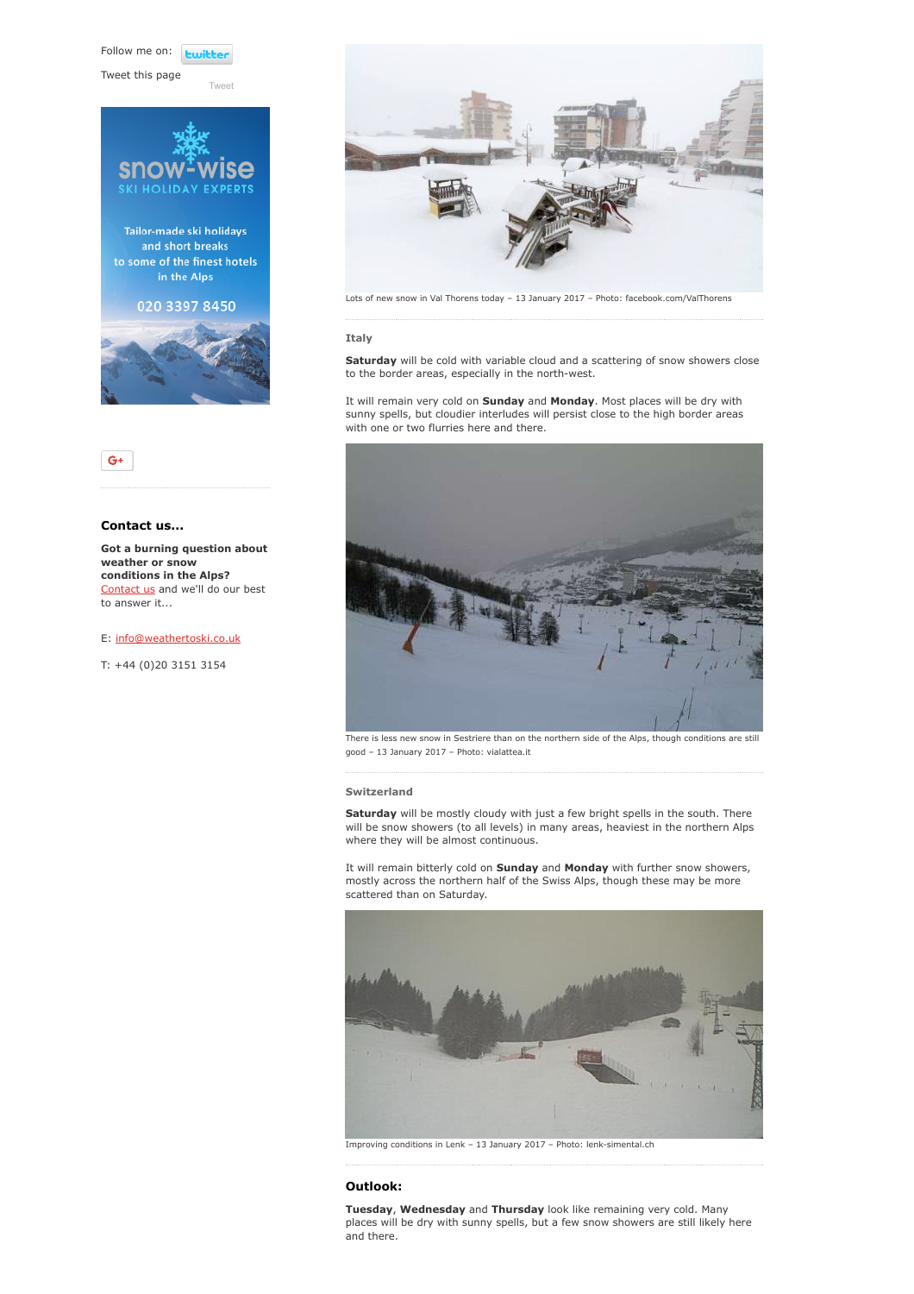Follow me on: **Lwitte** 

[Tweet](https://twitter.com/intent/tweet?original_referer=https%3A%2F%2Fwww.weathertoski.co.uk%2Fweather-snow%2Farchive%2Fsnow-forecast-13-01-2017%2F&ref_src=twsrc%5Etfw&text=Weather%20to%20ski%20-%20Snow%20forecast%20-%2013%20January%202017&tw_p=tweetbutton&url=https%3A%2F%2Fwww.weathertoski.co.uk%2Fweather-snow%2Farchive%2Fsnow-forecast-13-01-2017%2F)

Tweet this page





# Contact us...

 $G+$ 

Got a burning question about weather or snow conditions in the Alps? [Contact us](https://www.weathertoski.co.uk/about-1/contact-us/) and we'll do our best to answer it...

## E: [info@weathertoski.co.uk](mailto:fraser@weathertoski.co.uk)

T: +44 (0)20 3151 3154



Lots of new snow in Val Thorens today – 13 January 2017 – Photo: facebook.com/ValThorens

### Italy

Saturday will be cold with variable cloud and a scattering of snow showers close to the border areas, especially in the north-west.

It will remain very cold on Sunday and Monday. Most places will be dry with sunny spells, but cloudier interludes will persist close to the high border areas with one or two flurries here and there.



There is less new snow in Sestriere than on the northern side of the Alps, though conditions are still good – 13 January 2017 – Photo: vialattea.it

# Switzerland

Saturday will be mostly cloudy with just a few bright spells in the south. There will be snow showers (to all levels) in many areas, heaviest in the northern Alps where they will be almost continuous.

It will remain bitterly cold on **Sunday** and **Monday** with further snow showers, mostly across the northern half of the Swiss Alps, though these may be more scattered than on Saturday.



Improving conditions in Lenk – 13 January 2017 – Photo: lenk-simental.ch

# Outlook:

Tuesday, Wednesday and Thursday look like remaining very cold. Many places will be dry with sunny spells, but a few snow showers are still likely here and there.